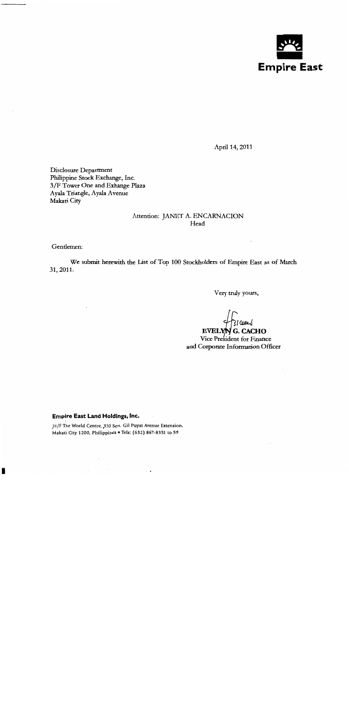

April 14, 2011

Disclosure Department Philippine Stock Exchange, Inc. 3/F Tower One and Exhange Plaza Ayala Triangle, Ayala Avenue Makati City

#### Attention: JANET A. ENCARNACION Head

Gentlemen:

We submit herewith the List of Top 100 Stockholders of Empire East as of March 31, 2011.

Very truly yours,

کا عسما

**EVELYN G. CACHO** Vice President for Finance and Corporate Information Officer

#### Empire East Land Holdings, Inc.

21/F The World Centre, 330 Sen. Gil Puyat Avenue Extension, Makati City 1200, Philippines . Tels: (632) 867-8351 to 59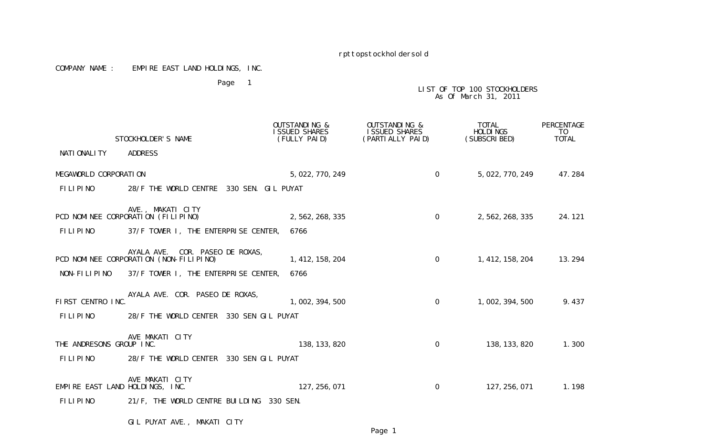#### COMPANY NAME : EMPIRE EAST LAND HOLDINGS, INC.

Page 1

# LIST OF TOP 100 STOCKHOLDERS As Of March 31, 2011

|                                 | STOCKHOLDER'S NAME                                                        | <b>OUTSTANDING &amp;</b><br><b>I SSUED SHARES</b><br>(FULLY PAID) | <b>OUTSTANDING &amp;</b><br>I SSUED SHARES<br>(PARTI ALLY PAID) | TOTAL<br><b>HOLDINGS</b><br>(SUBSCRIBED) | PERCENTAGE<br>T <sub>0</sub><br><b>TOTAL</b> |
|---------------------------------|---------------------------------------------------------------------------|-------------------------------------------------------------------|-----------------------------------------------------------------|------------------------------------------|----------------------------------------------|
| NATI ONALI TY                   | <b>ADDRESS</b>                                                            |                                                                   |                                                                 |                                          |                                              |
| MEGAWORLD CORPORATION           |                                                                           | 5, 022, 770, 249                                                  | $\Omega$                                                        | 5, 022, 770, 249                         | 47.284                                       |
| <b>FILIPINO</b>                 | 28/F THE WORLD CENTRE 330 SEN. GIL PUYAT                                  |                                                                   |                                                                 |                                          |                                              |
|                                 | AVE., MAKATI CITY<br>PCD NOMINEE CORPORATION (FILIPINO)                   | 2, 562, 268, 335                                                  | $\Omega$                                                        | 2, 562, 268, 335                         | 24.121                                       |
| <b>FILIPINO</b>                 | 37/F TOWER I, THE ENTERPRISE CENTER,                                      | 6766                                                              |                                                                 |                                          |                                              |
|                                 | AYALA AVE. COR. PASEO DE ROXAS,<br>PCD NOMINEE CORPORATION (NON-FILIPINO) | 1, 412, 158, 204                                                  | $\overline{0}$                                                  | 1, 412, 158, 204                         | 13.294                                       |
| NON-FILIPINO                    | 37/F TOWER I, THE ENTERPRISE CENTER,                                      | 6766                                                              |                                                                 |                                          |                                              |
| FIRST CENTRO INC.               | AYALA AVE. COR. PASEO DE ROXAS,                                           | 1, 002, 394, 500                                                  | $\overline{0}$                                                  | 1, 002, 394, 500                         | 9.437                                        |
| <b>FILIPINO</b>                 | 28/F THE WORLD CENTER 330 SEN GIL PUYAT                                   |                                                                   |                                                                 |                                          |                                              |
| THE ANDRESONS GROUP INC.        | AVE MAKATI CITY                                                           | 138, 133, 820                                                     | $\Omega$                                                        | 138, 133, 820                            | 1.300                                        |
| <b>FILIPINO</b>                 | 28/F THE WORLD CENTER 330 SEN GIL PUYAT                                   |                                                                   |                                                                 |                                          |                                              |
| EMPIRE EAST LAND HOLDINGS, INC. | AVE MAKATI CITY                                                           | 127, 256, 071                                                     | $\overline{O}$                                                  | 127, 256, 071                            | 1.198                                        |
| <b>FILIPINO</b>                 | 21/F, THE WORLD CENTRE BUILDING 330 SEN.                                  |                                                                   |                                                                 |                                          |                                              |

GIL PUYAT AVE., MAKATI CITY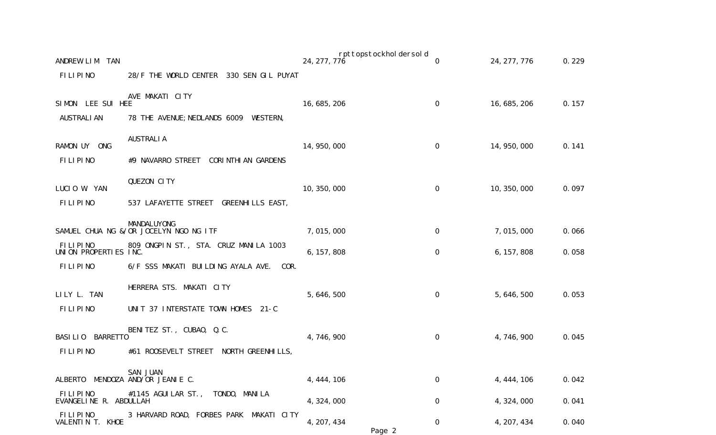| ANDREW LIM<br><b>TAN</b>                 |                                                       | 24, 277, 776 | rpttopstockholdersold | 0            | 24, 277, 776 | 0.229 |
|------------------------------------------|-------------------------------------------------------|--------------|-----------------------|--------------|--------------|-------|
| <b>FILIPINO</b>                          | 28/F THE WORLD CENTER 330 SEN GIL PUYAT               |              |                       |              |              |       |
| SIMON LEE SUI HEE                        | AVE MAKATI CITY                                       | 16, 685, 206 |                       | $\mathbf{O}$ | 16, 685, 206 | 0.157 |
| <b>AUSTRALI AN</b>                       | 78 THE AVENUE; NEDLANDS 6009 WESTERN,                 |              |                       |              |              |       |
| RAMON UY ONG                             | <b>AUSTRALIA</b>                                      | 14, 950, 000 |                       | $\mathbf{O}$ | 14, 950, 000 | 0.141 |
| <b>FILIPINO</b>                          | #9 NAVARRO STREET CORINTHIAN GARDENS                  |              |                       |              |              |       |
| LUCIO W. YAN                             | QUEZON CITY                                           | 10, 350, 000 |                       | 0            | 10, 350, 000 | 0.097 |
| <b>FILIPINO</b>                          | 537 LAFAYETTE STREET GREENHILLS EAST,                 |              |                       |              |              |       |
|                                          | MANDALUYONG<br>SAMUEL CHUA NG &/OR JOCELYN NGO NG ITF | 7,015,000    |                       | $\mathbf 0$  | 7,015,000    | 0.066 |
| <b>FILIPINO</b><br>UNION PROPERTIES INC. | 809 ONGPIN ST., STA. CRUZ MANILA 1003                 | 6, 157, 808  |                       | 0            | 6, 157, 808  | 0.058 |
| FILIPINO                                 | 6/F SSS MAKATI BUILDING AYALA AVE.<br>COR.            |              |                       |              |              |       |
| LILY L. TAN                              | HERRERA STS. MAKATI CITY                              | 5, 646, 500  |                       | 0            | 5, 646, 500  | 0.053 |
| <b>FILIPINO</b>                          | UNIT 37 INTERSTATE TOWN HOMES 21-C                    |              |                       |              |              |       |
| BASILIO BARRETTO                         | BENITEZ ST., CUBAO, Q.C.                              | 4,746,900    |                       | 0            | 4, 746, 900  | 0.045 |
| FILIPINO                                 | #61 ROOSEVELT STREET NORTH GREENHILLS,                |              |                       |              |              |       |
|                                          | SAN JUAN<br>ALBERTO MENDOZA AND/OR JEANIE C.          | 4, 444, 106  |                       | 0            | 4, 444, 106  | 0.042 |
| FILIPINO<br>EVANGELINE R. ABDULLAH       | #1145 AGUI LAR ST.,<br>TONDO, MANILA                  | 4, 324, 000  |                       | 0            | 4, 324, 000  | 0.041 |
| FILIPINO<br>VALENTIN T. KHOE             | 3 HARVARD ROAD, FORBES PARK MAKATI CITY               | 4, 207, 434  | Page 2                | 0            | 4, 207, 434  | 0.040 |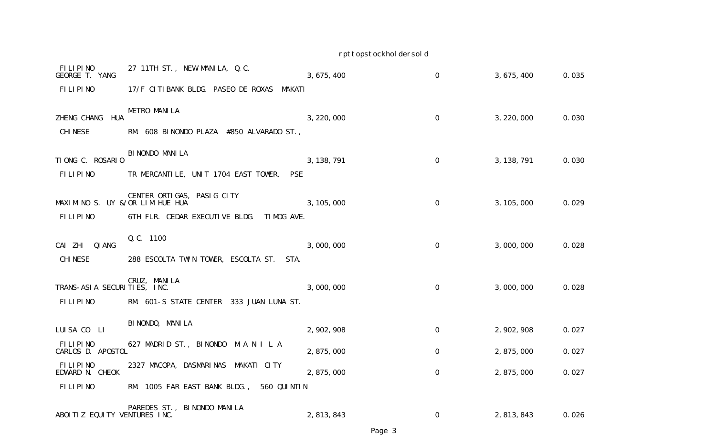| FILIPINO<br>GEORGE T. YANG      | 27 11TH ST., NEW MANILA, Q.C.                      | 3, 675, 400 | 0           | 3, 675, 400 | 0.035 |
|---------------------------------|----------------------------------------------------|-------------|-------------|-------------|-------|
| FILIPINO                        | 17/F CITIBANK BLDG. PASEO DE ROXAS<br>MAKATI       |             |             |             |       |
| ZHENG CHANG HUA                 | <b>METRO MANILA</b>                                | 3, 220, 000 | 0           | 3, 220, 000 | 0.030 |
| <b>CHINESE</b>                  | RM. 608 BINONDO PLAZA #850 ALVARADO ST.,           |             |             |             |       |
| TIONG C. ROSARIO                | BI NONDO MANI LA                                   | 3, 138, 791 | 0           | 3, 138, 791 | 0.030 |
| FILIPINO                        | TR MERCANTILE, UNIT 1704 EAST TOWER,<br><b>PSE</b> |             |             |             |       |
| MAXIMINO S. UY &/OR LIM HUE HUA | CENTER ORTIGAS, PASIG CITY                         | 3, 105, 000 | 0           | 3, 105, 000 | 0.029 |
| FILIPINO                        | 6TH FLR. CEDAR EXECUTIVE BLDG.<br>TIMOG AVE.       |             |             |             |       |
| CAI ZHI<br>QI ANG               | Q. C. 1100                                         | 3,000,000   | $\mathbf 0$ | 3,000,000   | 0.028 |
| <b>CHI NESE</b>                 | 288 ESCOLTA TWIN TOWER, ESCOLTA ST.<br>STA.        |             |             |             |       |
| TRANS-ASIA SECURITIES, INC.     | CRUZ, MANILA                                       | 3,000,000   | 0           | 3,000,000   | 0.028 |
| FILIPINO                        | RM. 601-S STATE CENTER 333 JUAN LUNA ST.           |             |             |             |       |
| LUISA CO LI                     | BI NONDO, MANI LA                                  | 2, 902, 908 | $\mathbf 0$ | 2, 902, 908 | 0.027 |
| FILIPINO<br>CARLOS D. APOSTOL   | 627 MADRID ST., BINONDO M A N I L A                | 2, 875, 000 | 0           | 2, 875, 000 | 0.027 |
| FILIPINO<br>EDWARD N. CHEOK     | 2327 MACOPA, DASMARINAS MAKATI CITY                | 2, 875, 000 | 0           | 2, 875, 000 | 0.027 |
| <b>FILIPINO</b>                 | RM. 1005 FAR EAST BANK BLDG., 560 QUINTIN          |             |             |             |       |
| ABOITIZ EQUITY VENTURES INC.    | PAREDES ST., BINONDO MANILA                        | 2, 813, 843 | 0           | 2, 813, 843 | 0.026 |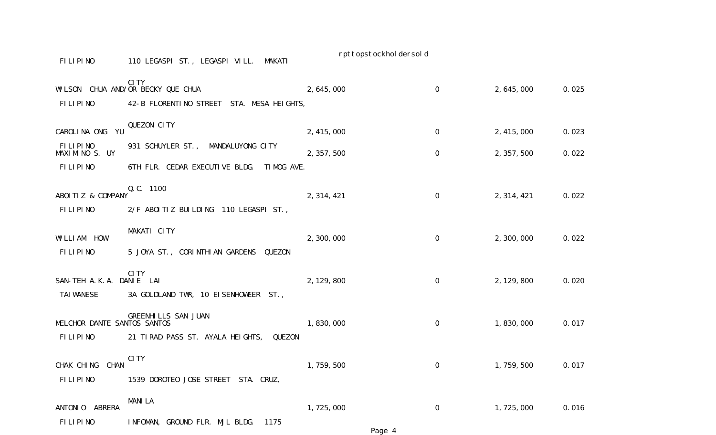| <b>FILIPINO</b>                                | 110 LEGASPI ST., LEGASPI VILL. MAKATI                                                         | rpttopstockhol dersol d |                |                   |       |
|------------------------------------------------|-----------------------------------------------------------------------------------------------|-------------------------|----------------|-------------------|-------|
| <b>FILIPINO</b>                                | <b>CITY</b><br>WILSON CHUA AND/OR BECKY QUE CHUA<br>42-B FLORENTINO STREET STA. MESA HEIGHTS, | 2, 645, 000             | 0              | 2, 645, 000       | 0.025 |
| CAROLINA ONG YU                                | QUEZON CITY                                                                                   | 2, 415, 000             | 0              | 2, 415, 000       | 0.023 |
| <b>FILIPINO</b><br>MAXIMINO S. UY              | 931 SCHUYLER ST., MANDALUYONG CITY                                                            | 2, 357, 500             | 0              | 2, 357, 500       | 0.022 |
| <b>FILIPINO</b>                                | 6TH FLR. CEDAR EXECUTIVE BLDG. TIMOG AVE.                                                     |                         |                |                   |       |
| ABOITIZ & COMPANY<br><b>FILIPINO</b>           | Q. C. 1100<br>2/F ABOITIZ BUILDING 110 LEGASPI ST.,                                           | 2, 314, 421             | $\overline{0}$ | 2, 314, 421       | 0.022 |
| WILLIAM HOW<br><b>FILIPINO</b>                 | MAKATI CITY<br>5 JOYA ST., CORINTHIAN GARDENS QUEZON                                          | 2,300,000               | $\overline{0}$ | 2, 300, 000       | 0.022 |
| SAN-TEH A.K.A. DANIE LAI<br><b>TAI WANESE</b>  | CI TY<br>3A GOLDLAND TWR, 10 EISENHOWEER ST.,                                                 | 2, 129, 800             | $\mathbf 0$    | 2, 129, 800       | 0.020 |
| MELCHOR DANTE SANTOS SANTOS<br><b>FILIPINO</b> | <b>GREENHILLS SAN JUAN</b><br>21 TIRAD PASS ST. AYALA HEIGHTS,<br>QUEZON                      | 1,830,000               | $\mathbf 0$    | 1, 830, 000       | 0.017 |
| CHAK CHING CHAN<br><b>FILIPINO</b>             | CI TY<br>1539 DOROTEO JOSE STREET STA. CRUZ,                                                  | 1, 759, 500             | $\Omega$       | 1, 759, 500 0.017 |       |
| ANTONIO ABRERA<br><b>FILIPINO</b>              | <b>MANILA</b><br>INFOMAN, GROUND FLR. MJL BLDG.<br>1175                                       | 1,725,000               | 0              | 1,725,000         | 0.016 |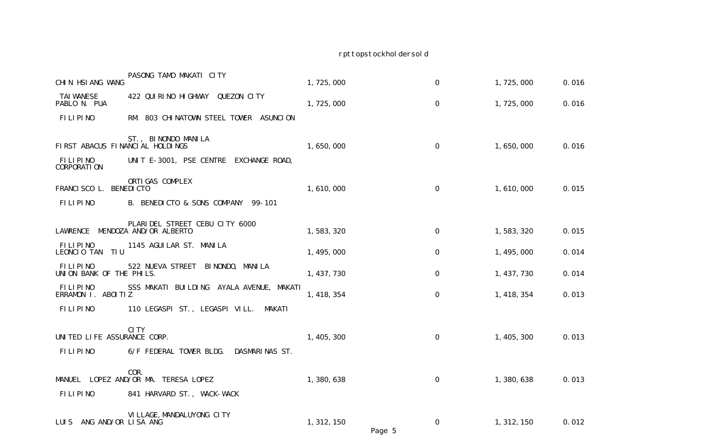| CHIN HSIANG WANG                     | PASONG TAMO MAKATI CITY                      | 1,725,000   |        | $\boldsymbol{0}$ | 1,725,000   | 0.016 |
|--------------------------------------|----------------------------------------------|-------------|--------|------------------|-------------|-------|
| <b>TAI WANESE</b><br>PABLO N. PUA    | 422 QUIRINO HIGHWAY QUEZON CITY              | 1,725,000   |        | 0                | 1, 725, 000 | 0.016 |
| FILIPINO                             | RM. 803 CHINATOWN STEEL TOWER ASUNCION       |             |        |                  |             |       |
| FIRST ABACUS FINANCIAL HOLDINGS      | ST., BINONDO MANILA                          | 1,650,000   |        | $\mathbf 0$      | 1,650,000   | 0.016 |
| FILIPINO<br><b>CORPORATION</b>       | UNIT E-3001, PSE CENTRE EXCHANGE ROAD,       |             |        |                  |             |       |
| FRANCI SCO L. BENEDI CTO             | ORTI GAS COMPLEX                             | 1,610,000   |        | $\mathbf 0$      | 1,610,000   | 0.015 |
| FILIPINO                             | B. BENEDICTO & SONS COMPANY 99-101           |             |        |                  |             |       |
| LAWRENCE MENDOZA AND/OR ALBERTO      | PLARIDEL STREET CEBU CITY 6000               | 1,583,320   |        | $\mathbf 0$      | 1,583,320   | 0.015 |
| FILIPINO<br>LEONCIO TAN TIU          | 1145 AGUI LAR ST. MANI LA                    | 1, 495, 000 |        | $\Omega$         | 1, 495, 000 | 0.014 |
| FILIPINO<br>UNION BANK OF THE PHILS. | 522 NUEVA STREET BINONDO, MANILA             | 1, 437, 730 |        | 0                | 1, 437, 730 | 0.014 |
| FILIPINO<br>ERRAMON I. ABOITIZ       | SSS MAKATI BUILDING AYALA AVENUE, MAKATI     | 1, 418, 354 |        | $\boldsymbol{0}$ | 1, 418, 354 | 0.013 |
| FILIPINO                             | 110 LEGASPI ST., LEGASPI VILL.<br>MAKATI     |             |        |                  |             |       |
| UNITED LIFE ASSURANCE CORP.          | CI TY                                        | 1, 405, 300 |        | $\mathbf 0$      | 1, 405, 300 | 0.013 |
| FILIPINO                             | 6/F FEDERAL TOWER BLDG. DASMARINAS ST.       |             |        |                  |             |       |
|                                      | COR.<br>MANUEL LOPEZ AND/OR MA. TERESA LOPEZ | 1,380,638   |        | $\Omega$         | 1,380,638   | 0.013 |
| <b>FILIPINO</b>                      | 841 HARVARD ST., WACK-WACK                   |             |        |                  |             |       |
| LUIS ANG AND/OR LISA ANG             | VI LLAGE, MANDALUYONG CITY                   | 1, 312, 150 | Page 5 | $\mathbf 0$      | 1, 312, 150 | 0.012 |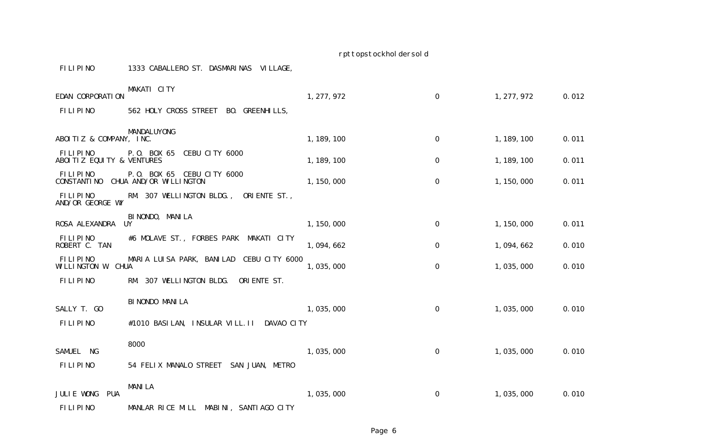| FILIPINO<br>1333 CABALLERO ST. DASMARINAS VILLAGE. |  |
|----------------------------------------------------|--|
|----------------------------------------------------|--|

| EDAN CORPORATION                      | MAKATI CITY                                          | 1, 277, 972 | 0           | 1, 277, 972 | 0.012 |
|---------------------------------------|------------------------------------------------------|-------------|-------------|-------------|-------|
| FILIPINO                              | 562 HOLY CROSS STREET BO. GREENHILLS,                |             |             |             |       |
|                                       |                                                      |             |             |             |       |
| ABOITIZ & COMPANY, INC.               | MANDALUYONG                                          | 1, 189, 100 | $\mathbf 0$ | 1, 189, 100 | 0.011 |
| FILIPINO<br>ABOITIZ EQUITY & VENTURES | P.O. BOX 65 CEBU CITY 6000                           | 1, 189, 100 | $\mathbf 0$ | 1, 189, 100 | 0.011 |
| FILIPINO<br>CONSTANTI NO              | P.O. BOX 65 CEBU CITY 6000<br>CHUA AND/OR WILLINGTON | 1, 150, 000 | $\mathbf 0$ | 1, 150, 000 | 0.011 |
| FILIPINO<br>AND/OR GEORGE WY          | RM. 307 WELLINGTON BLDG.,<br>ORIENTE ST.,            |             |             |             |       |
|                                       | BI NONDO, MANI LA                                    |             |             |             |       |
| ROSA ALEXANDRA                        | UY                                                   | 1, 150, 000 | 0           | 1, 150, 000 | 0.011 |
| FILIPINO<br>ROBERT C. TAN             | #6 MOLAVE ST., FORBES PARK<br>MAKATI CITY            | 1,094,662   | 0           | 1,094,662   | 0.010 |
| FILIPINO<br>WILLINGTON W. CHUA        | CEBU CITY 6000<br>MARIA LUISA PARK, BANILAD          | 1,035,000   | 0           | 1,035,000   | 0.010 |
| FILIPINO                              | RM. 307 WELLINGTON BLDG.<br>ORI ENTE ST.             |             |             |             |       |
|                                       | BI NONDO MANI LA                                     |             |             |             |       |
| SALLY T. GO                           |                                                      | 1,035,000   | $\mathbf 0$ | 1,035,000   | 0.010 |
| <b>FILIPINO</b>                       | #1010 BASILAN, INSULAR VILL. II DAVAO CITY           |             |             |             |       |
|                                       | 8000                                                 |             |             |             |       |
| SAMUEL NG                             |                                                      | 1,035,000   | $\mathbf 0$ | 1,035,000   | 0.010 |
| FILIPINO                              | 54 FELIX MANALO STREET SAN JUAN, METRO               |             |             |             |       |
|                                       | <b>MANILA</b>                                        |             |             |             |       |
| JULIE WONG<br><b>PUA</b>              |                                                      | 1,035,000   | 0           | 1,035,000   | 0.010 |
| FILIPINO                              | MANLAR RICE MILL MABINI, SANTIAGO CITY               |             |             |             |       |

Page 6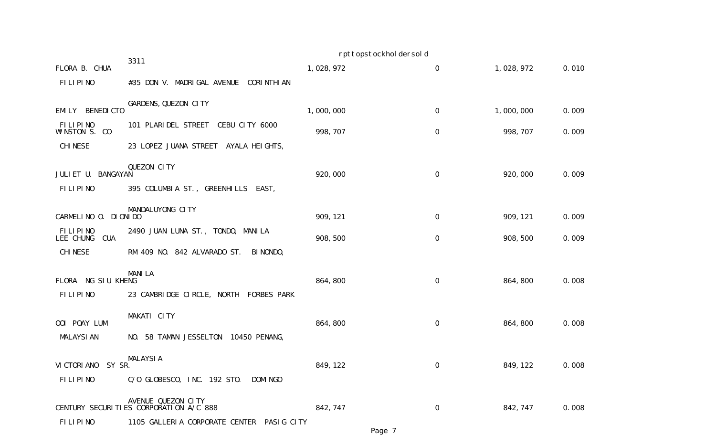|                                     |                                                              | rpttopstockhol dersol d |                  |             |       |
|-------------------------------------|--------------------------------------------------------------|-------------------------|------------------|-------------|-------|
| FLORA B. CHUA                       | 3311                                                         | 1,028,972               | $\boldsymbol{0}$ | 1, 028, 972 | 0.010 |
| FILIPINO                            | #35 DON V. MADRIGAL AVENUE CORINTHIAN                        |                         |                  |             |       |
| <b>BENEDI CTO</b><br>EMI LY         | GARDENS, QUEZON CITY                                         | 1,000,000               | $\mathbf 0$      | 1,000,000   | 0.009 |
| FILIPINO<br>WINSTON S. CO           | 101 PLARIDEL STREET CEBU CITY 6000                           | 998, 707                | 0                | 998, 707    | 0.009 |
| <b>CHI NESE</b>                     | 23 LOPEZ JUANA STREET AYALA HEIGHTS,                         |                         |                  |             |       |
| JULIET U. BANGAYAN                  | QUEZON CITY                                                  | 920,000                 | $\mathbf 0$      | 920,000     | 0.009 |
| FILIPINO                            | 395 COLUMBIA ST., GREENHILLS EAST,                           |                         |                  |             |       |
| CARMELINO O. DIONIDO                | MANDALUYONG CITY                                             | 909, 121                | 0                | 909, 121    | 0.009 |
| FILIPINO<br>LEE CHUNG<br><b>CUA</b> | 2490 JUAN LUNA ST., TONDO, MANILA                            | 908, 500                | $\mathbf 0$      | 908, 500    | 0.009 |
| <b>CHINESE</b>                      | RM 409 NO. 842 ALVARADO ST.<br>BI NONDO,                     |                         |                  |             |       |
| FLORA NG SIU KHENG                  | <b>MANILA</b>                                                | 864, 800                | $\boldsymbol{0}$ | 864, 800    | 0.008 |
| <b>FILIPINO</b>                     | 23 CAMBRIDGE CIRCLE, NORTH FORBES PARK                       |                         |                  |             |       |
| OOI POAY LUM                        | MAKATI CITY                                                  | 864, 800                | $\mathbf 0$      | 864, 800    | 0.008 |
| <b>MALAYSI AN</b>                   | NO. 58 TAMAN JESSELTON 10450 PENANG,                         |                         |                  |             |       |
| VI CTORI ANO<br>SY SR.              | <b>MALAYSIA</b>                                              | 849, 122                | 0                | 849, 122    | 0.008 |
| FILIPINO                            | C/O GLOBESCO, INC. 192 STO.<br><b>DOMI NGO</b>               |                         |                  |             |       |
|                                     | AVENUE QUEZON CITY<br>CENTURY SECURITIES CORPORATION A/C 888 | 842, 747                | $\mathbf 0$      | 842, 747    | 0.008 |
| <b>FILIPINO</b>                     | 1105 GALLERIA CORPORATE CENTER PASIG CITY                    |                         |                  |             |       |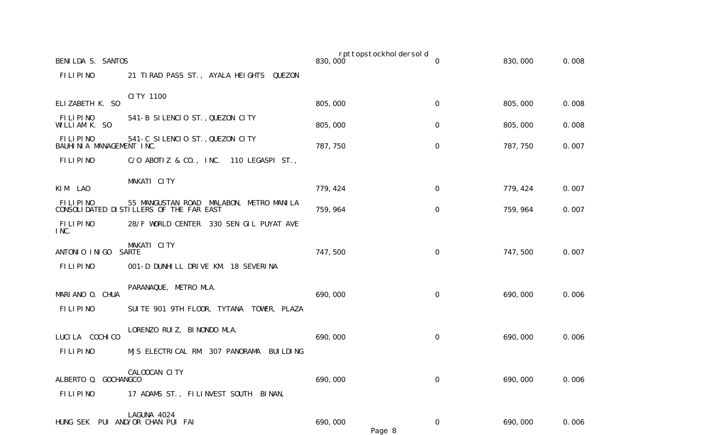| BENILDA S. SANTOS                           |                                                      | 830,000  | rpttopstockhol dersol d | $\Omega$    | 830,000  | 0.008 |
|---------------------------------------------|------------------------------------------------------|----------|-------------------------|-------------|----------|-------|
|                                             |                                                      |          |                         |             |          |       |
| <b>FILIPINO</b>                             | 21 TIRAD PASS ST., AYALA HEIGHTS QUEZON              |          |                         |             |          |       |
|                                             | CI TY 1100                                           |          |                         |             |          |       |
| ELIZABETH K. SO                             |                                                      | 805,000  |                         | 0           | 805,000  | 0.008 |
| <b>FILIPINO</b><br>WILLIAM K. SO            | 541-B SILENCIO ST., QUEZON CITY                      | 805,000  |                         | 0           | 805,000  | 0.008 |
| <b>FILIPINO</b><br>BAUHINIA MANAGEMENT INC. | 541-C SILENCIO ST., QUEZON CITY                      | 787, 750 |                         | $\mathbf 0$ | 787, 750 | 0.007 |
| FILIPINO                                    | C/O ABOTIZ & CO., INC. 110 LEGASPI ST.,              |          |                         |             |          |       |
| KIM LAO                                     | MAKATI CITY                                          | 779, 424 |                         | 0           | 779, 424 | 0.007 |
| FILIPINO                                    | MALABON, METRO MANILA<br>55 MANGUSTAN ROAD           |          |                         |             |          |       |
|                                             | CONSOLIDATED DISTILLERS OF THE FAR EAST              | 759, 964 |                         | $\mathbf 0$ | 759, 964 | 0.007 |
| <b>FILIPINO</b><br>INC.                     | 28/F WORLD CENTER 330 SEN GIL PUYAT AVE              |          |                         |             |          |       |
| ANTONIO INIGO                               | MAKATI CITY<br><b>SARTE</b>                          | 747,500  |                         | $\mathbf 0$ | 747,500  | 0.007 |
| FILIPINO                                    | 001-D DUNHILL DRIVE KM. 18 SEVERINA                  |          |                         |             |          |       |
|                                             |                                                      |          |                         |             |          |       |
| MARIANO O. CHUA                             | PARANAQUE, METRO MLA.                                | 690,000  |                         | $\mathbf 0$ | 690,000  | 0.006 |
| FILIPINO                                    | SUITE 901 9TH FLOOR, TYTANA TOWER, PLAZA             |          |                         |             |          |       |
|                                             | LORENZO RUIZ, BINONDO MLA.                           |          |                         |             |          |       |
| LUCI LA COCHI CO                            |                                                      | 690,000  |                         | 0           | 690,000  | 0.006 |
| FILIPINO                                    | MJS ELECTRICAL RM. 307 PANORAMA<br><b>BUI LDI NG</b> |          |                         |             |          |       |
|                                             | CALOOCAN CITY                                        |          |                         |             |          |       |
| ALBERTO Q. GOCHANGCO                        |                                                      | 690,000  |                         | 0           | 690,000  | 0.006 |
| FILIPINO                                    | 17 ADAMS ST., FILINVEST SOUTH BINAN,                 |          |                         |             |          |       |
|                                             | LAGUNA 4024                                          |          |                         |             |          |       |
|                                             | HUNG SEK PUI AND/OR CHAN PUI FAI                     | 690,000  |                         | $\mathbf 0$ | 690,000  | 0.006 |
|                                             |                                                      |          | Page 8                  |             |          |       |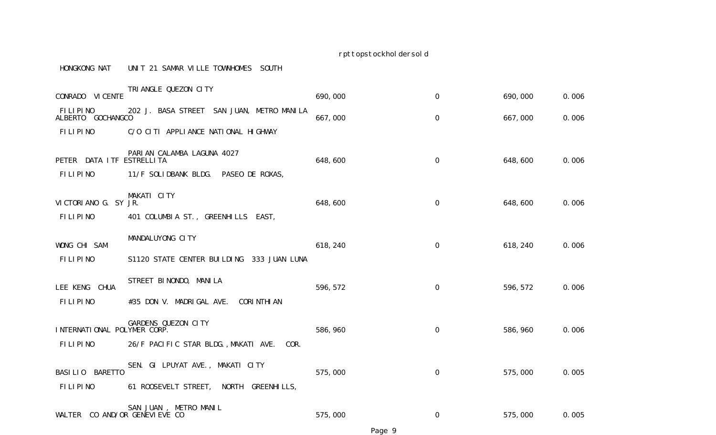#### HONGKONG NAT UNIT 21 SAMAR VILLE TOWNHOMES SOUTH

| CONRADO VI CENTE               | TRI ANGLE QUEZON CITY                         | 690,000  | $\mathbf 0$         | 690,000  | 0.006 |
|--------------------------------|-----------------------------------------------|----------|---------------------|----------|-------|
| FILIPINO<br>ALBERTO GOCHANGCO  | 202 J. BASA STREET SAN JUAN, METRO MANILA     | 667,000  | 0                   | 667,000  | 0.006 |
| FILIPINO                       | C/O CITI APPLIANCE NATIONAL HIGHWAY           |          |                     |          |       |
| PETER DATA I TF ESTRELLI TA    | PARIAN CALAMBA LAGUNA 4027                    | 648,600  | $\mathbf 0$         | 648,600  | 0.006 |
| FILIPINO                       | 11/F SOLIDBANK BLDG. PASEO DE ROXAS,          |          |                     |          |       |
| VICTORIANO G. SY JR.           | MAKATI CITY                                   | 648,600  | $\mathsf{O}\xspace$ | 648,600  | 0.006 |
| <b>FILIPINO</b>                | 401 COLUMBIA ST., GREENHILLS EAST,            |          |                     |          |       |
| WONG CHI SAM                   | MANDALUYONG CITY                              | 618, 240 | 0                   | 618, 240 | 0.006 |
| <b>FILIPINO</b>                | S1120 STATE CENTER BUILDING 333 JUAN LUNA     |          |                     |          |       |
| LEE KENG CHUA                  | STREET BINONDO, MANILA                        | 596, 572 | $\mathbf 0$         | 596, 572 | 0.006 |
| FILIPINO                       | #35 DON V. MADRIGAL AVE.<br><b>CORINTHIAN</b> |          |                     |          |       |
| INTERNATIONAL POLYMER CORP.    | GARDENS QUEZON CITY                           | 586, 960 | $\mathbf 0$         | 586, 960 | 0.006 |
| FILIPINO                       | 26/F PACIFIC STAR BLDG., MAKATI AVE.<br>COR.  |          |                     |          |       |
| BASILIO BARETTO                | SEN. GI LPUYAT AVE., MAKATI CITY              | 575,000  | $\mathsf{O}\xspace$ | 575,000  | 0.005 |
| <b>FILIPINO</b>                | 61 ROOSEVELT STREET, NORTH GREENHILLS,        |          |                     |          |       |
| WALTER CO AND/OR GENEVI EVE CO | METRO MANIL<br>SAN JUAN                       | 575,000  | 0                   | 575,000  | 0.005 |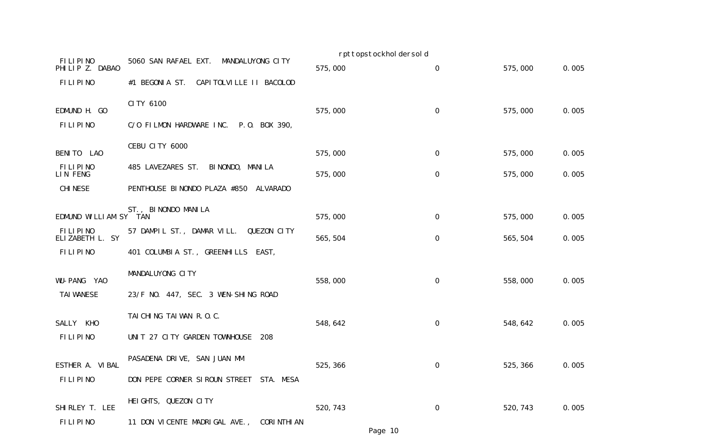|                             |                                                 | rpttopstockhol dersol d |                  |          |       |
|-----------------------------|-------------------------------------------------|-------------------------|------------------|----------|-------|
| FILIPINO<br>PHILIP Z. DABAO | 5060 SAN RAFAEL EXT.<br>MANDALUYONG CITY        | 575,000                 | $\boldsymbol{0}$ | 575,000  | 0.005 |
| FILIPINO                    | #1 BEGONIA ST.<br>CAPI TOLVI LLE II BACOLOD     |                         |                  |          |       |
| EDMUND H. GO                | CI TY 6100                                      | 575,000                 | $\mathbf 0$      | 575,000  | 0.005 |
| FILIPINO                    | C/O FILMON HARDWARE INC.<br>P.O. BOX 390,       |                         |                  |          |       |
| BENITO LAO                  | CEBU CITY 6000                                  | 575,000                 | $\boldsymbol{0}$ | 575,000  | 0.005 |
| <b>FILIPINO</b><br>LIN FENG | BI NONDO, MANI LA<br>485 LAVEZARES ST.          | 575,000                 | $\boldsymbol{0}$ | 575,000  | 0.005 |
| <b>CHI NESE</b>             | PENTHOUSE BINONDO PLAZA #850<br><b>ALVARADO</b> |                         |                  |          |       |
| EDMUND WILLIAM SY TAN       | ST., BINONDO MANILA                             | 575,000                 | $\boldsymbol{0}$ | 575,000  | 0.005 |
| FILIPINO<br>ELIZABETH L. SY | 57 DAMPIL ST., DAMAR VILL. QUEZON CITY          | 565, 504                | $\boldsymbol{0}$ | 565, 504 | 0.005 |
| FILIPINO                    | 401 COLUMBIA ST., GREENHILLS EAST,              |                         |                  |          |       |
| WU-PANG YAO                 | MANDALUYONG CITY                                | 558,000                 | $\boldsymbol{0}$ | 558,000  | 0.005 |
| <b>TAI WANESE</b>           | 23/F NO. 447, SEC. 3 WEN-SHING ROAD             |                         |                  |          |       |
| SALLY<br>KHO                | TAI CHING TAI WAN R.O.C.                        | 548, 642                | $\boldsymbol{0}$ | 548, 642 | 0.005 |
| FILIPINO                    | UNIT 27 CITY GARDEN TOWNHOUSE<br>208            |                         |                  |          |       |
| ESTHER A. VIBAL             | PASADENA DRIVE, SAN JUAN MM                     | 525, 366                | $\mathbf 0$      | 525, 366 | 0.005 |
| FILIPINO                    | DON PEPE CORNER SIROUN STREET STA. MESA         |                         |                  |          |       |
| SHI RLEY T. LEE             | HEIGHTS, QUEZON CITY                            | 520, 743                | $\mathbf 0$      | 520, 743 | 0.005 |
| <b>FILIPINO</b>             | 11 DON VICENTE MADRIGAL AVE.,<br>CORI NTHI AN   |                         |                  |          |       |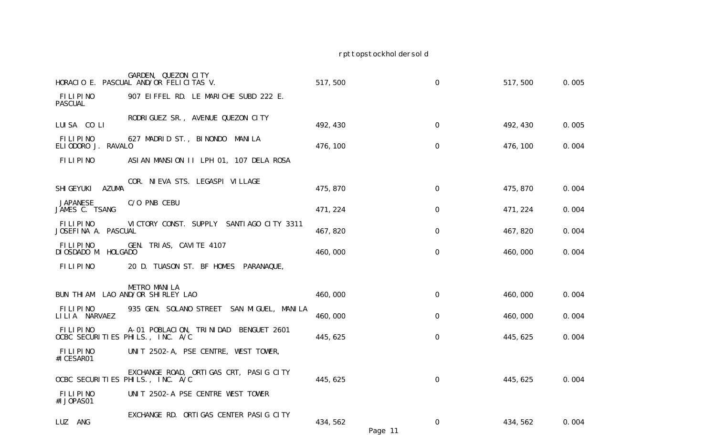|                                              | GARDEN, QUEZON CITY<br>HORACIO E. PASCUAL AND/OR FELICITAS V. | 517,500             | $\mathbf 0$      | 517,500  | 0.005 |
|----------------------------------------------|---------------------------------------------------------------|---------------------|------------------|----------|-------|
| FILIPINO<br>PASCUAL                          | 907 EIFFEL RD. LE MARICHE SUBD 222 E.                         |                     |                  |          |       |
| LUISA COLI                                   | RODRIGUEZ SR., AVENUE QUEZON CITY                             | 492, 430            | 0                | 492, 430 | 0.005 |
| FILIPINO<br>ELIODORO J. RAVALO               | 627 MADRID ST., BINONDO<br>MANI LA                            | 476, 100            | $\boldsymbol{0}$ | 476, 100 | 0.004 |
| FILIPINO                                     | ASIAN MANSION II LPH 01, 107 DELA ROSA                        |                     |                  |          |       |
| <b>AZUMA</b><br>SHI GEYUKI                   | COR. NIEVA STS. LEGASPI VILLAGE                               | 475, 870            | 0                | 475,870  | 0.004 |
| <b>JAPANESE</b><br>JAMES C. TSANG            | C/O PNB CEBU                                                  | 471, 224            | 0                | 471, 224 | 0.004 |
| FILIPINO<br>JOSEFINA A. PASCUAL              | VICTORY CONST. SUPPLY SANTIAGO CITY 3311                      | 467, 820            | 0                | 467, 820 | 0.004 |
| FILIPINO<br>DI OSDADO M. HOLGADO             | GEN. TRIAS, CAVITE 4107                                       | 460,000             | 0                | 460,000  | 0.004 |
| FILIPINO                                     | 20 D. TUASON ST. BF HOMES<br>PARANAQUE,                       |                     |                  |          |       |
| <b>BUN THI AM</b>                            | <b>METRO MANILA</b><br>LAO AND/OR SHIRLEY LAO                 | 460,000             | $\mathbf 0$      | 460,000  | 0.004 |
| FILIPINO<br>LILIA NARVAEZ                    | 935 GEN. SOLANO STREET<br>SAN MIGUEL, MANILA                  | 460,000             | 0                | 460,000  | 0.004 |
| FLLIPINO<br>OCBC SECURITIES PHILS., INC. A/C | A-01 POBLACION, TRINIDAD<br>BENGUET 2601                      | 445, 625            | $\boldsymbol{0}$ | 445, 625 | 0.004 |
| <b>FILIPINO</b><br>#I CESAR01                | UNIT 2502-A, PSE CENTRE, WEST TOWER,                          |                     |                  |          |       |
| OCBC SECURITIES PHILS., INC. A/C             | EXCHANGE ROAD, ORTIGAS CRT, PASIG CITY                        | 445, 625            | 0                | 445, 625 | 0.004 |
| <b>FILIPINO</b><br>#I JOPAS01                | UNIT 2502-A PSE CENTRE WEST TOWER                             |                     |                  |          |       |
| LUZ ANG                                      | EXCHANGE RD. ORTIGAS CENTER PASIG CITY                        | 434, 562<br>Page 11 | 0                | 434, 562 | 0.004 |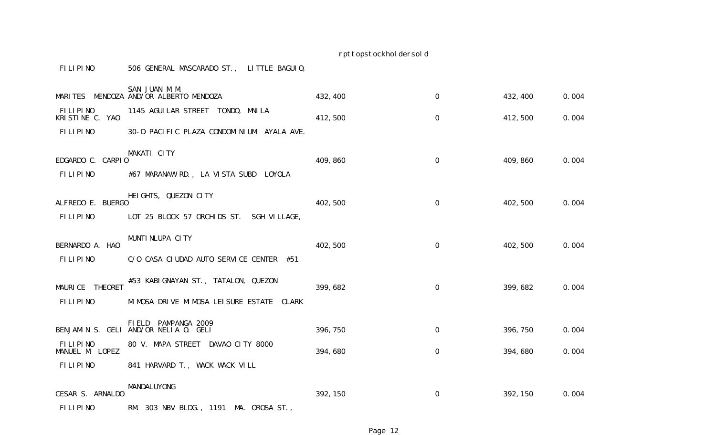## FILIPINO 506 GENERAL MASCARADO ST., LITTLE BAGUIO,

| MARI TES                           | SAN JUAN M.M.<br>MENDOZA AND/OR ALBERTO MENDOZA                  | 432, 400 | $\mathsf{O}\xspace$ | 432, 400 | 0.004 |
|------------------------------------|------------------------------------------------------------------|----------|---------------------|----------|-------|
| FILIPINO<br>KRISTINE C. YAO        | 1145 AGUI LAR STREET TONDO, MNI LA                               | 412,500  | $\mathbf 0$         | 412,500  | 0.004 |
| <b>FILIPINO</b>                    | 30-D PACIFIC PLAZA CONDOMINIUM AYALA AVE.                        |          |                     |          |       |
| EDGARDO C. CARPIO                  | MAKATI CITY                                                      | 409, 860 | 0                   | 409, 860 | 0.004 |
| FILIPINO                           | #67 MARANAW RD., LA VISTA SUBD<br>LOYOLA                         |          |                     |          |       |
| ALFREDO E. BUERGO                  | HEIGHTS, QUEZON CITY                                             | 402, 500 | $\mathbf 0$         | 402,500  | 0.004 |
| FILIPINO                           | LOT 25 BLOCK 57 ORCHIDS ST.<br>SGH VILLAGE,                      |          |                     |          |       |
| BERNARDO A. HAO                    | MUNTI NLUPA CITY                                                 | 402, 500 | 0                   | 402,500  | 0.004 |
| <b>FILIPINO</b>                    | C/O CASA CIUDAD AUTO SERVICE CENTER #51                          |          |                     |          |       |
| MAURICE THEORET                    | #53 KABIGNAYAN ST., TATALON, QUEZON                              | 399, 682 | $\mathbf 0$         | 399, 682 | 0.004 |
| <b>FILIPINO</b>                    | MI MOSA DRIVE MI MOSA LEI SURE ESTATE CLARK                      |          |                     |          |       |
|                                    | FI ELD<br>PAMPANGA 2009<br>BENJAMIN S. GELI AND/OR NELIA O. GELI | 396, 750 | $\mathbf 0$         | 396, 750 | 0.004 |
| <b>FILIPINO</b><br>MANUEL M. LOPEZ | 80 V. MAPA STREET DAVAO CITY 8000                                | 394,680  | $\mathsf{O}\xspace$ | 394,680  | 0.004 |
| FILIPINO                           | 841 HARVARD T., WACK WACK VILL                                   |          |                     |          |       |
| CESAR S. ARNALDO                   | MANDALUYONG                                                      | 392, 150 | 0                   | 392, 150 | 0.004 |
| FILIPINO                           | RM. 303 NBV BLDG., 1191 MA. OROSA ST.,                           |          |                     |          |       |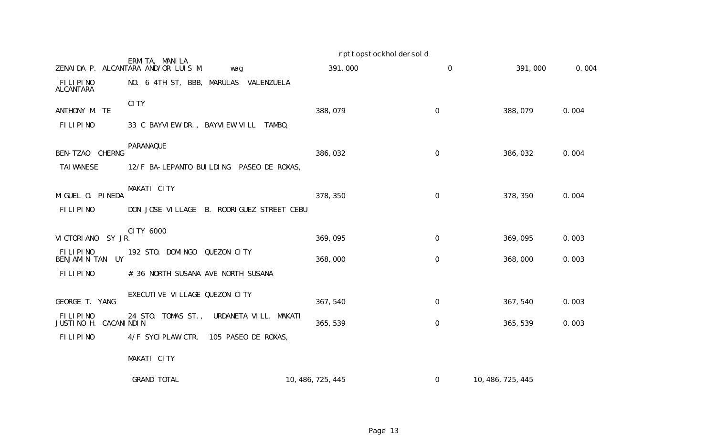|                                   |                                                              | rpttopstockhol dersol d |                     |                   |       |
|-----------------------------------|--------------------------------------------------------------|-------------------------|---------------------|-------------------|-------|
|                                   | ERMITA, MANILA<br>ZENAIDA P. ALCANTARA AND/OR LUIS M.<br>wag | 391,000                 | $\mathbf 0$         | 391,000           | 0.004 |
| FILIPINO<br>ALCANTARA             | NO. 6 4TH ST, BBB, MARULAS VALENZUELA                        |                         |                     |                   |       |
| ANTHONY M. TE                     | <b>CITY</b>                                                  | 388,079                 | $\mathbf 0$         | 388,079           | 0.004 |
| FILIPINO                          | 33 C BAYVIEW DR., BAYVIEW VILL TAMBO,                        |                         |                     |                   |       |
| BEN-TZAO CHERNG                   | PARANAQUE                                                    | 386,032                 | $\mathbf 0$         | 386,032           | 0.004 |
| <b>TAI WANESE</b>                 | 12/F BA-LEPANTO BUILDING PASEO DE ROXAS,                     |                         |                     |                   |       |
| MIGUEL O. PINEDA                  | MAKATI CITY                                                  | 378, 350                | $\mathbf 0$         | 378, 350          | 0.004 |
| FILIPINO                          | DON JOSE VILLAGE B. RODRIGUEZ STREET CEBU<br>CI TY 6000      |                         |                     |                   |       |
| VI CTORI ANO<br>SY JR.            |                                                              | 369,095                 | $\mathsf{O}\xspace$ | 369,095           | 0.003 |
| FILIPINO<br>BENJAMIN TAN UY       | 192 STO. DOMINGO<br>QUEZON CITY                              | 368,000                 | $\mathbf 0$         | 368,000           | 0.003 |
| FILIPINO                          | # 36 NORTH SUSANA AVE NORTH SUSANA                           |                         |                     |                   |       |
| GEORGE T. YANG                    | EXECUTIVE VILLAGE QUEZON CITY                                | 367, 540                | 0                   | 367, 540          | 0.003 |
| FILIPINO<br>JUSTINO H. CACANINDIN | 24 STO. TOMAS ST.,<br>URDANETA VILL. MAKATI                  | 365, 539                | $\mathbf 0$         | 365, 539          | 0.003 |
| FILIPINO                          | 4/F SYCIPLAW CTR. 105 PASEO DE ROXAS,                        |                         |                     |                   |       |
|                                   | MAKATI CITY                                                  |                         |                     |                   |       |
|                                   | <b>GRAND TOTAL</b>                                           | 10, 486, 725, 445       | 0                   | 10, 486, 725, 445 |       |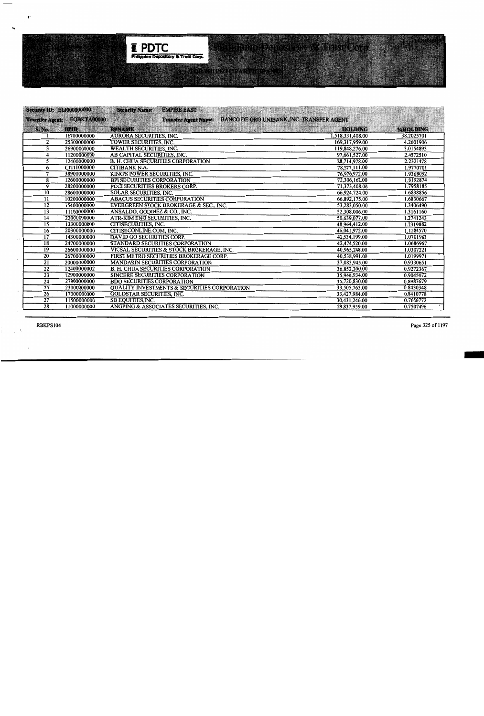

|                         | <b>Security ID: EL1000000000</b> | <b>Security Name:</b><br><b>EMPIRE EAST</b>             | <u> Saraj Mariji i Karaja matematika i Saraja</u> |                 |
|-------------------------|----------------------------------|---------------------------------------------------------|---------------------------------------------------|-----------------|
|                         | Transfer Agents EQBKTA00000      | <b>Transfer Agent Name:</b>                             | <b>BANCO DE ORO UNIBANK, INC. TRANSFER AGENT</b>  |                 |
| <b>S. No.</b>           | <b>BPID</b>                      | <b>BPNAME</b>                                           | <b>HOLDING</b>                                    | <b>%HOLDING</b> |
|                         | 16700000000                      | <b>AURORA SECURITIES, INC.</b>                          | 1,518,331,408.00                                  | 38.2025701      |
| $\overline{2}$          | 25300000000                      | TOWER SECURITIES, INC.                                  | 169,317,959.00                                    | 4.2601906       |
| $\overline{\mathbf{3}}$ | 26900000000                      | <b>WEALTH SECURITIES, INC.</b>                          | 119,848,276.00                                    | 3.0154893       |
| 4                       | 11200000000                      | AB CAPITAL SECURITIES, INC.                             | 97,661,527.00                                     | 2.4572510       |
| 5                       | 12400000000                      | <b>B. H. CHUA SECURITIES CORPORATION</b>                | 88,714,978.00                                     | 2.2321478       |
| 6                       | <b>CITI1000000</b>               | <b>CITIBANK N.A.</b>                                    | 78,577,111.00                                     | 1.9770701       |
| 7                       | 38900000000                      | KING'S POWER SECURITIES, INC.                           | 76.976.972.00                                     | 1.9368092       |
| 8                       | 12600000000                      | <b>BPI SECURITIES CORPORATION</b>                       | 72,306,162.00                                     | 1.8192874       |
| 9                       | 28200000000                      | <b>PCCI SECURITIES BROKERS CORP.</b>                    | 71,373,408.00                                     | 1.7958185       |
| 10 <sup>7</sup>         | 28600000000                      | <b>SOLAR SECURITIES, INC.</b>                           | 66,924,724.00                                     | 1.6838856       |
| 11                      | 10200000000                      | <b>ABACUS SECURITIES CORPORATION</b>                    | 66,892,175.00                                     | 1.6830667       |
| 12                      | 15400000000                      | EVERGREEN STOCK BROKERAGE & SEC., INC.                  | 53,283,050.00                                     | 1.3406490       |
| $\overline{13}$         | 11100000000                      | ANSALDO, GODINEZ & CO., INC.                            | 52,308,006.00                                     | 1.3161160       |
| $\overline{14}$         | 22000000000                      | ATR-KIM ENG SECURITIES, INC.                            | 50,639,077.00                                     | 1.2741243       |
| $\overline{15}$         | 13300000000                      | <b>CITISECURITIES, INC.</b>                             | 48,964,412.00                                     | 1.2319882       |
| $\overline{16}$         | 20300000000                      | CITISECONLINE.COM, INC.                                 | 46,041,972.00                                     | 1.1584570       |
| 17                      | 14300000000                      | DAVID GO SECURITIES CORP.                               | 42,534,199.00                                     | 1.0701983       |
| 18                      | 24700000000                      | STANDARD SECURITIES CORPORATION                         | 42,474,520.00                                     | 1.0686967       |
| 19                      | 26600000000                      | VICSAL SECURITIES & STOCK BROKERAGE, INC.               | 40,965,248.00                                     | 1.0307221       |
| $\overline{20}$         | 26700000000                      | FIRST METRO SECURITIES BROKERAGE CORP.                  | 40,538,991.00                                     | 1.0199971       |
| 21                      | 20000000000                      | <b>MANDARIN SECURITIES CORPORATION</b>                  | 37,083,945.00                                     | 0.9330651       |
| 22                      | 12400000002                      | <b>B. H. CHUA SECURITIES CORPORATION</b>                | 36,852,300.00                                     | 0.9272367       |
| $\overline{23}$         | 12900000000                      | <b>SINCERE SECURITIES CORPORATION</b>                   | 35,948,934.00                                     | 0.9045072       |
| $\overline{24}$         | 27900000000                      | <b>BDO SECURITIES CORPORATION</b>                       | 35,720,830.00                                     | 0.8987679       |
| $\overline{25}$         | 23000000000                      | <b>QUALITY INVESTMENTS &amp; SECURITIES CORPORATION</b> | 33,505,763.00                                     | 0.8430348       |
| $\overline{26}$         | 17000000000                      | <b>GOLDSTAR SECURITIES, INC.</b>                        | 33,427,984.00                                     | 0.8410778       |
| $\overline{27}$         | 11500000000                      | SB EQUITIES, INC.                                       | 30,431,246.00                                     | 0.7656772       |
| 28                      | 11000000000                      | ANGPING & ASSOCIATES SECURITIES, INC.                   | 29.837.959.00                                     | 0.7507496       |

 $\bullet\cdot$ 

 $\mathbf{G}$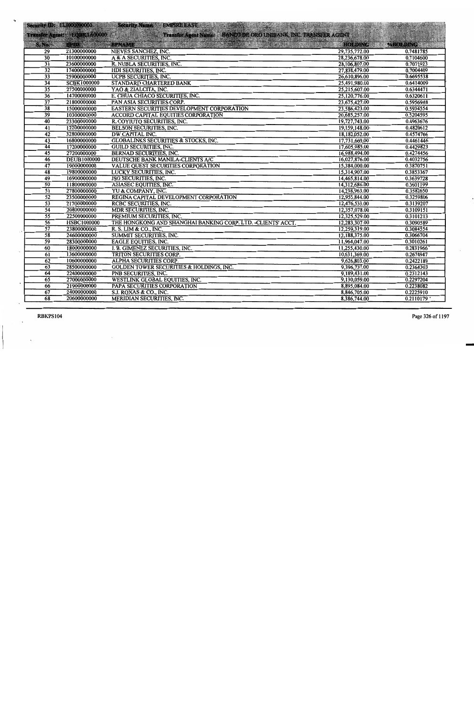|                 |                             | Security ID: EL1000000000 Security Name: EMPIRE EAST                                                                                                                                                                             |               |                          |
|-----------------|-----------------------------|----------------------------------------------------------------------------------------------------------------------------------------------------------------------------------------------------------------------------------|---------------|--------------------------|
|                 | Transfer Agent: EQBKTA00000 | BOBK1400000 Transfer Agent Name: BANCOIDE ORO UNIBANK, INC. TRANSFER AGENT                                                                                                                                                       |               |                          |
| S.No.           |                             | de la constitución de la constitución de la constitución de la constitución de la constitución de la constituc<br>Por la constitución de la constitución de la constitución de la constitución de la constitución de la constitu |               | <b>MHOLDING AND REAL</b> |
| $\overline{29}$ | 21300000000                 | NIEVES SANCHEZ, INC.                                                                                                                                                                                                             | 29,735,772.00 | 0.7481785                |
| 30              | 10100000000                 | A & A SECURITIES, INC.                                                                                                                                                                                                           | 28,236,678.00 | 0.7104600                |
| 31              | 23600000000                 | R. NUBLA SECURITIES, INC.                                                                                                                                                                                                        | 28,106,807.00 | 0.7071923                |
| $\overline{32}$ | 17400000000                 | HDI SECURITIES, INC.                                                                                                                                                                                                             | 27,838,479.00 | 0.7004409                |
| $\overline{33}$ | 25900000000                 | <b>UCPB SECURITIES, INC.</b>                                                                                                                                                                                                     | 26,610,896.00 | 0.6695538                |
| 34              | <b>SCBK1000000</b>          | <b>STANDARD CHARTERED BANK</b>                                                                                                                                                                                                   | 25,491,980.00 | 0.6414009                |
| 35              | 27500000000                 | YAO & ZIALCITA, INC.                                                                                                                                                                                                             | 25,215,607.00 | 0.6344471                |
| $\overline{36}$ | 14700000000                 | E. CHUA CHIACO SECURITIES, INC.                                                                                                                                                                                                  | 25,120,776.00 | 0.6320611                |
| 37              | 21800000000                 | PAN ASIA SECURITIES CORP.                                                                                                                                                                                                        | 23,675,427.00 | 0.5956948                |
| $\overline{38}$ | 15000000000                 | EASTERN SECURITIES DEVELOPMENT CORPORATION                                                                                                                                                                                       | 23,586,423.00 | 0.5934554                |
| 39              | 10300000000                 | <b>ACCORD CAPITAL EQUITIES CORPORATION</b>                                                                                                                                                                                       | 20,685,257.00 | 0.5204595                |
| 40              | 23300000000                 | R. COYIUTO SECURITIES, INC.                                                                                                                                                                                                      | 19,727,743.00 | 0.4963676                |
| $\overline{41}$ | 12200000000                 | <b>BELSON SECURITIES, INC.</b>                                                                                                                                                                                                   | 19,159,148.00 | 0.4820612                |
| 42              | 32800000000                 | <b>DW CAPITAL INC.</b>                                                                                                                                                                                                           | 18,182,052.00 | 0.4574766                |
| $\overline{43}$ | 16800000000                 | <b>GLOBALINKS SECURITIES &amp; STOCKS, INC.</b>                                                                                                                                                                                  | 17,731,669.00 | 0.4461446                |
| 44              | 17200000000                 | <b>GUILD SECURITIES, INC.</b>                                                                                                                                                                                                    | 17,605,985.00 | 0.4429823                |
| 45              | 27200000000                 | <b>BERNAD SECURITIES, INC.</b>                                                                                                                                                                                                   | 16,988,494.00 | 0.4274456                |
| 46              | <b>DEUB1000000</b>          | DEUTSCHE BANK MANILA-CLIENTS A/C                                                                                                                                                                                                 | 16,027,876.00 | 0.4032756                |
| $\overline{47}$ | 19000000000                 | VALUE QUEST SECURITIES CORPORATION                                                                                                                                                                                               | 15,384,000.00 | 0.3870751                |
| 48              | 19800000000                 | <b>LUCKY SECURITIES, INC.</b>                                                                                                                                                                                                    | 15,314,907.00 | 0.3853367                |
| 49              | 16900000000                 | <b>JSG SECURITIES, INC.</b>                                                                                                                                                                                                      | 14,465,814.00 | 0.3639728                |
| $\overline{50}$ | 11800000000                 | ASIASEC EQUITIES, INC.                                                                                                                                                                                                           | 14,312,686.00 | 0.3601199                |
| $\overline{51}$ | 27800000000                 | YU & COMPANY, INC.                                                                                                                                                                                                               | 14,238,963.00 | 0.3582650                |
| $\overline{52}$ | 23500000000                 | REGINA CAPITAL DEVELOPMENT CORPORATION                                                                                                                                                                                           | 12,955,844.00 | 0.3259806                |
| $\overline{53}$ | 21700000000                 | <b>RCBC SECURITIES, INC.</b>                                                                                                                                                                                                     | 12,476,533.00 | 0.3139207                |
| $\overline{54}$ | 20800000000                 | <b>MDR SECURITIES, INC.</b>                                                                                                                                                                                                      | 12,357,078.00 | 0.3109151                |
| $\overline{55}$ | 22500000000                 | PREMIUM SECURITIES, INC.                                                                                                                                                                                                         | 12,325,529.00 | 0.3101213                |
| $\overline{56}$ | <b>HSBC1000000</b>          | THE HONGKONG AND SHANGHAI BANKING CORP. LTD. - CLIENTS' ACCT.                                                                                                                                                                    | 12,283,307.00 | 0.3090589                |
| $\overline{57}$ | 23800000000                 | R. S. LIM & CO., INC.                                                                                                                                                                                                            | 12,259,319.00 | 0.3084554                |
| $\overline{58}$ | 24600000000                 | SUMMIT SECURITIES, INC.                                                                                                                                                                                                          | 12,188,375.00 | 0.3066704                |
| $\overline{59}$ | 28300000000                 | <b>EAGLE EQUITIES, INC.</b>                                                                                                                                                                                                      | 11,964,047.00 | 0.3010261                |
| 60              | 18000000000                 | I. B. GIMENEZ SECURITIES, INC.                                                                                                                                                                                                   | 11,255,430.00 | 0.2831966                |
| $\overline{61}$ | 13600000000                 | TRITON SECURITIES CORP.                                                                                                                                                                                                          | 10,631,369.00 | 0.2674947                |
| 62              | 10600000000                 | ALPHA SECURITIES CORP.                                                                                                                                                                                                           | 9,626,803.00  | 0.2422189                |
| 63              | 28500000000                 | <b>GOLDEN TOWER SECURITIES &amp; HOLDINGS, INC.</b>                                                                                                                                                                              | 9,396,737.00  | 0.2364303                |
| $\overline{64}$ | 22400000000                 | PNB SECURITIES, INC.                                                                                                                                                                                                             | 9,189,431.00  | 0.2312143                |
| 65              | 27000000000                 | <b>WESTLINK GLOBAL EQUITIES, INC.</b>                                                                                                                                                                                            | 9,130,059.00  | 0.2297204                |
| 66              | 21900000000                 | PAPA SECURITIES CORPORATION                                                                                                                                                                                                      | 8,895,084.00  | 0.2238082                |
| 67              | 24000000000                 | S.J. ROXAS & CO., INC.                                                                                                                                                                                                           | 8,846,705.00  | 0.2225910                |
| $\overline{68}$ | 20600000000                 | <b>MERIDIAN SECURITIES, INC.</b>                                                                                                                                                                                                 | 8,386,744.00  | 0.2110179                |

**RBKPS104** 

 $\cdot$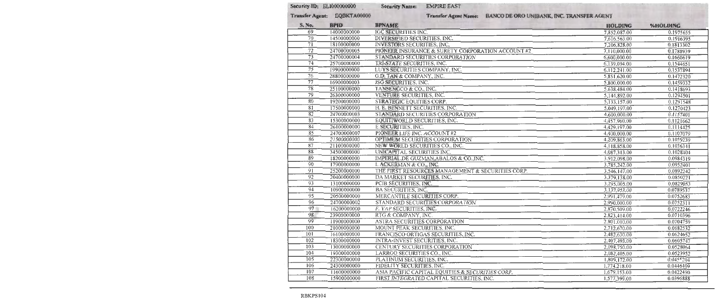#### Security ID: ELI000000000

#### **Security Name: EMPIRE EAST**

Transfer Agent: EQBKTA00000

#### Transfer Agent Name: BANCO DE ORO UNIBANK, INC. TRANSFER AGENT

| S. No.                     | <b>BPID</b> | <b>BPNAME</b>                                     | HOLDING      | %HOLDING  |
|----------------------------|-------------|---------------------------------------------------|--------------|-----------|
| 69                         | 14000000000 | <b>IGC SECURITIES INC.</b>                        | 7,852,087.00 | 0.1975655 |
| 70                         | 14500000000 | DIVERSIFIED SECURITIES, INC.                      | 7,616,563.00 | 0.1916395 |
| $\overline{7}\overline{1}$ | 18100000000 | INVESTORS SECURITIES, INC.                        | 7,206,828.00 | 0.1813302 |
| 72                         | 24700000005 | PIONEER INSURANCE & SURETY CORPORATION ACCOUNT #2 | 7,110,000.00 | 0.1788939 |
| $\overline{73}$            | 24700000004 | STANDARD SECURITIES CORPORATION                   | 6,600,000.00 | 0.1660619 |
| 74                         | 25700000000 | TRI-STATE SECURITIES, INC.                        | 6,139,094.00 | 0.1544651 |
| 75                         | 19900000000 | LUYS SECURITIES COMPANY, INC.                     | 6,112,241.00 | 0.1537894 |
| 76                         | 28800000000 | G.D. TAN & COMPANY, INC.                          | 5,851,620.00 | 0.1472320 |
| $\overline{77}$            | 16900000003 | JSG SECURITIES, INC.                              | 5,800,000.00 | 0.1459332 |
| $\overline{78}$            | 25100000000 | TANSENGCO & CO., INC.                             | 5.638,484.00 | 0.1418693 |
| $\overline{79}$            | 26300000000 | VENTURE SECURITIES, INC.                          | 5,144,892.00 | 0.1294501 |
| 80                         | 19200000000 | STRATEGIC EQUITIES CORP.                          | 5,133,157.00 | 0.1291548 |
| 81                         | 17500000000 | H. E. BENNETT SECURITIES, INC.                    | 5,049,197.00 | 0.1270423 |
| $\overline{82}$            | 24700000003 | STANDARD SECURITIES CORPORATION                   | 4,600,000.00 | 0.1157401 |
| $\overline{83}$            | 15300000000 | EQUITIWORLD SECURITIES, INC.                      | 4,457,960.00 | 0.1121662 |
| 84                         | 26100000000 | E.SECURITIES, INC.                                | 4,429,197.00 | 0.1114425 |
| $\overline{85}$            | 24700000007 | PIONEER LIFE INC. ACCOUNT #2                      | 4,400,000.00 | 0.1107079 |
| 86                         | 21500000000 | OPTIMUM SECURITIES CORPORATION                    | 4,209,863.00 | 0.1059239 |
| 87                         | 21100000000 | NEW WORLD SECURITIES CO., INC.                    | 4,118,858.00 | 0.1036341 |
| $\overline{88}$            | 34500000000 | UNICAPITAL SECURITIES INC.                        | 4,087,313.00 | 0.1028404 |
| $\overline{89}$            | 18200000000 | IMPERIAL.DE GUZMAN.ABALOS & CO.,INC.              | 3,912,098.00 | 0.0984319 |
| 90                         | 17900000000 | I. ACKERMAN & CO., INC.                           | 3,785,242.00 | 0.0952401 |
| $\overline{91}$            | 25200000000 | THE FIRST RESOURCES MANAGEMENT & SECURITIES CORP. | 3,546,147.00 | 0.0892242 |
| $\overline{92}$            | 20400000000 | DA MARKET SECURITIES, INC.                        | 3,379,138.00 | 0.0850221 |
| 93                         | 13100000000 | PCIB SECURITIES, INC.                             | 3,295,005.00 | 0.0829053 |
| 94                         | 10900000000 | BA SECURITIES, INC.                               | 3,137,953.00 | 0.0789537 |
| 95                         | 20500000000 | MERCANTILE SECURITIES CORP.                       | 2,991,479.00 | 0.0752683 |
| $\overline{96}$            | 24700000002 | STANDARD SECURITIES CORPORATION                   | 2,990,000.00 | 0.0752311 |
| 97                         | 16200000000 | F. YAP SECURITIES, INC.                           | 2,870,509.00 | 0.0722246 |
| 98                         | 23900000000 | RTG & COMPANY, INC.                               | 2,823,414.00 | 0.0710396 |
| 99                         | 11900000000 | ASTRA SECURITIES CORPORATION                      | 2,801,010.00 | 0.0704759 |
| 100                        | 21000000000 | MOUNT PEAK SECURITIES, INC.                       | 2,712,670.00 | 0.0682532 |
| $\overline{101}$           | 16100000000 | FRANCISCO ORTIGAS SECURITIES, INC.                | 2,482,630.00 | 0.0624652 |
| 102                        | 18300000000 | INTRA-INVEST SECURITIES, INC.                     | 2,407,493.00 | 0.0605747 |
| 103                        | 13000000000 | <b>CENTURY SECURITIES CORPORATION</b>             | 2,098,750.00 | 0.0528064 |
| 104                        | 19300000000 | LARRGO SECURITIES CO., INC.                       | 2,082,405.00 | 0.0523952 |
| $\overline{105}$           | 22300000000 | PLATINUM SECURITIES, INC.                         | 1,809,172.00 | 0.0455204 |
| 106                        | 24300000000 | <b>FIDELITY SECURITIES, INC.</b>                  | 1,774.218.00 | 0.0446409 |
| 107                        | 11600000000 | ASIA PACIFIC CAPITAL EQUITIES & SECURITIES CORP.  | 1,679,153.00 | 0.0422490 |
| 108                        | 15900000000 | FIRST INTEGRATED CAPITAL SECURITIES, INC.         | 1,577,399.00 | 0.0396888 |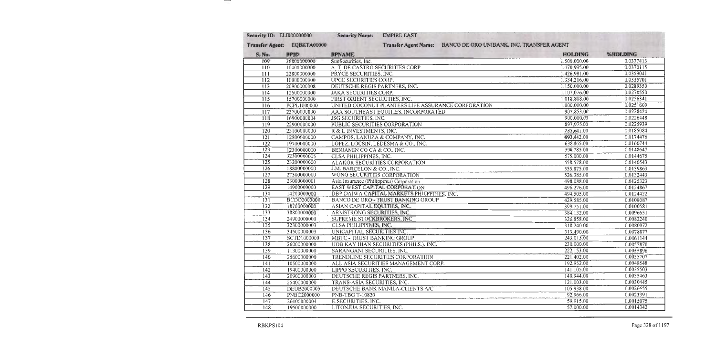| Security ID: ELI000000000 |                             | <b>Security Name:</b><br><b>EMPIRE EAST</b>                    |                |           |
|---------------------------|-----------------------------|----------------------------------------------------------------|----------------|-----------|
|                           | Transfer Agent: EQBKTA00000 | Transfer Agent Name: BANCO DE ORO UNIBANK, INC. TRANSFER AGENT |                |           |
| S. No.                    | <b>BPID</b>                 | <b>BPNAME</b>                                                  | <b>HOLDING</b> | %HOLDING  |
| 109                       | 36800000000                 | SunSecurities, Inc.                                            | 1,500,000.00   | 0.0377413 |
| 110                       | 10400000000                 | A. T. DE CASTRO SECURITIES CORP.                               | 1,470,995.00   | 0.0370115 |
| 111                       | 22800000000                 | PRYCE SECURITIES, INC.                                         | 1,426,981.00   | 0.0359041 |
| 112                       | 10000000000                 | UPCC SECURITIES CORP.                                          | 1,334,216.00   | 0.0335701 |
| $\overline{113}$          | 20900000008                 | DEUTSCHE REGIS PARTNERS, INC.                                  | 1,150,000.00   | 0.0289350 |
| 114                       | 12500000000                 | <b>JAKA SECURITIES CORP.</b>                                   | 1,107,076.00   | 0.0278550 |
| $\overline{115}$          | 15700000000                 | FIRST ORIENT SECURITIES, INC.                                  | 1,018,808.00   | 0.0256341 |
| 116                       | PCPL1000000                 | UNITED COCONUT PLANTERS LIFE ASSURANCE CORPORATION             | 1,000,000.00   | 0.0251609 |
| $\overline{117}$          | 23700000000                 | AAA SOUTHEAST EQUITIES, INCORPORATED                           | 907,853.00     | 0.0228424 |
| 118                       | 16900000004                 | <b>JSG SECURITIES, INC.</b>                                    | 900,000.00     | 0.0226448 |
| $\overline{119}$          | 22900000000                 | PUBLIC SECURITIES CORPORATION                                  | 897,975.00     | 0.0225939 |
| 120                       | 23100000000                 | R & L INVESTMENTS, INC.                                        | 735,601.00     | 0.0185084 |
| 121                       | 12800000000                 | CAMPOS, LANUZA & COMPANY, INC.                                 | 693,442.00     | 0.0174476 |
| $\overline{122}$          | 19700000000                 | LOPEZ, LOCSIN, LEDESMA & CO., INC.                             | 638,865.00     | 0.0160744 |
| 123                       | 12300000000                 | BENJAMIN CO CA & CO., INC.                                     | 590,785.00     | 0.0148647 |
| $\overline{124}$          | 32300000005                 | <b>CLSA PHILIPPINES, INC.</b>                                  | 575,000.00     | 0.0144675 |
| 125                       | 23200000000                 | ALAKOR SECURITIES CORPORATION                                  | 558,578.00     | 0.0140543 |
| 126                       | 18800000000                 | J.M. BARCELON & CO., INC.                                      | 555,875.00     | 0.0139863 |
| 127                       | 27300000000                 | WONG SECURITIES CORPORATION                                    | 526,385.00     | 0.0132443 |
| $\overline{128}$          | 23000000001                 | Asia Insurance (Philippines) Corporation                       | 498,088.00     | 0.0125323 |
| $\overline{129}$          | 14900000000                 | EAST WEST CAPITAL CORPORATION                                  | 496,276.00     | 0.0124867 |
| 130                       | 14200000000                 | DBP-DAIWA CAPITAL MARKETS PHILPPINES, INC.                     | 494,505.00     | 0.0124422 |
| $\overline{131}$          | BCDO2000000                 | BANCO DE ORO - TRUST BANKING GROUP                             | 429,585.00     | 0.0108087 |
| $\overline{132}$          | 18700000000                 | ASIAN CAPITAL EQUITIES, INC.                                   | 399,751.00     | 0.0100581 |
| 133                       | 38800000000                 | ARMSTRONG SECURITIES, INC.                                     | 384,132.00     | 0.0096651 |
| 134                       | 24900000000                 | SUPREME STOCKBROKERS, INC.                                     | 326,858.00     | 0.0082240 |
| 135                       | 32300000003                 | CLSA PHILIPPINES, INC.                                         | 318,240.00     | 0.0080072 |
| 136                       | 34500000003                 | UNICAPITAL SECURITIES INC.                                     | 313,490.00     | 0.0078877 |
| $\overline{137}$          | SCTD1000000                 | MBTC - TRUST BANKING GROUP                                     | 243,013.00     | 0.0061144 |
| 138                       | 26000000000                 | UOB KAY HIAN SECURITIES (PHILS.), INC.                         | 230,000.00     | 0.0057870 |
| $\overline{139}$          | 11300000000                 | SARANGANI SECURITIES, INC.                                     | 222,153.00     | 0.0055896 |
| 140                       | 25600000000                 | TRENDLINE SECURITIES CORPORATION                               | 221,402.00     | 0.0055707 |
| 141                       | 10500000000                 | ALL ASIA SECURITIES MANAGEMENT CORP.                           | 192,952.00     | 0.0048548 |
| $\overline{142}$          | 19400000000                 | LIPPO SECURITIES. INC.                                         | 141, 105.00    | 0.0035503 |
| 143                       | 20900000003                 | DEUTSCHE REGIS PARTNERS, INC.                                  | 140,944.00     | 0.0035463 |
| $\overline{144}$          | 25400000000                 | TRANS-ASIA SECURITIES, INC.                                    | 121,003.00     | 0.0030445 |
| $\overline{145}$          | DEUB2000005                 | DEUTSCHE BANK MANILA-CLIENTS A/C                               | 105,938.00     | 0.0026655 |
| 146                       | PNBC2000000                 | <b>PNB-TBG T-10820</b>                                         | 92,966.00      | 0.0023391 |
| 147                       | 26100000004                 | E.SECURITIES, INC.                                             | 59,915.00      | 0.0015075 |
| $\overline{148}$          | 19500000000                 | LITONJUA SECURITIES, INC.                                      | 57,000.00      | 0.0014342 |

 $-$